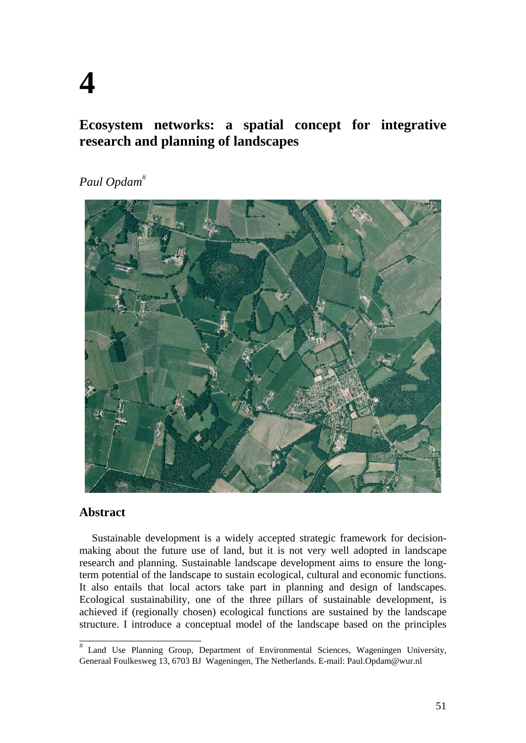# **4**

## **Ecosystem networks: a spatial concept for integrative research and planning of landscapes**

# *Paul Opdam*



## **Abstract**

\_\_\_\_\_\_\_\_\_\_\_\_\_\_\_\_\_\_\_\_\_\_\_

Sustainable development is a widely accepted strategic framework for decisionmaking about the future use of land, but it is not very well adopted in landscape research and planning. Sustainable landscape development aims to ensure the longterm potential of the landscape to sustain ecological, cultural and economic functions. It also entails that local actors take part in planning and design of landscapes. Ecological sustainability, one of the three pillars of sustainable development, is achieved if (regionally chosen) ecological functions are sustained by the landscape structure. I introduce a conceptual model of the landscape based on the principles

Land Use Planning Group, Department of Environmental Sciences, Wageningen University, Generaal Foulkesweg 13, 6703 BJ Wageningen, The Netherlands. E-mail: Paul.Opdam@wur.nl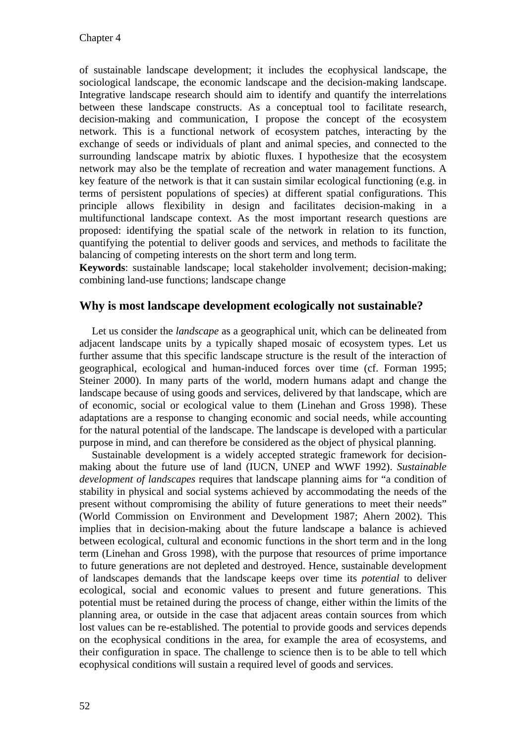of sustainable landscape development; it includes the ecophysical landscape, the sociological landscape, the economic landscape and the decision-making landscape. Integrative landscape research should aim to identify and quantify the interrelations between these landscape constructs. As a conceptual tool to facilitate research, decision-making and communication, I propose the concept of the ecosystem network. This is a functional network of ecosystem patches, interacting by the exchange of seeds or individuals of plant and animal species, and connected to the surrounding landscape matrix by abiotic fluxes. I hypothesize that the ecosystem network may also be the template of recreation and water management functions. A key feature of the network is that it can sustain similar ecological functioning (e.g. in terms of persistent populations of species) at different spatial configurations. This principle allows flexibility in design and facilitates decision-making in a multifunctional landscape context. As the most important research questions are proposed: identifying the spatial scale of the network in relation to its function, quantifying the potential to deliver goods and services, and methods to facilitate the balancing of competing interests on the short term and long term.

**Keywords**: sustainable landscape; local stakeholder involvement; decision-making; combining land-use functions; landscape change

#### **Why is most landscape development ecologically not sustainable?**

Let us consider the *landscape* as a geographical unit, which can be delineated from adjacent landscape units by a typically shaped mosaic of ecosystem types. Let us further assume that this specific landscape structure is the result of the interaction of geographical, ecological and human-induced forces over time (cf. Forman 1995; Steiner 2000). In many parts of the world, modern humans adapt and change the landscape because of using goods and services, delivered by that landscape, which are of economic, social or ecological value to them (Linehan and Gross 1998). These adaptations are a response to changing economic and social needs, while accounting for the natural potential of the landscape. The landscape is developed with a particular purpose in mind, and can therefore be considered as the object of physical planning.

Sustainable development is a widely accepted strategic framework for decisionmaking about the future use of land (IUCN, UNEP and WWF 1992). *Sustainable development of landscapes* requires that landscape planning aims for "a condition of stability in physical and social systems achieved by accommodating the needs of the present without compromising the ability of future generations to meet their needs" (World Commission on Environment and Development 1987; Ahern 2002). This implies that in decision-making about the future landscape a balance is achieved between ecological, cultural and economic functions in the short term and in the long term (Linehan and Gross 1998), with the purpose that resources of prime importance to future generations are not depleted and destroyed. Hence, sustainable development of landscapes demands that the landscape keeps over time its *potential* to deliver ecological, social and economic values to present and future generations. This potential must be retained during the process of change, either within the limits of the planning area, or outside in the case that adjacent areas contain sources from which lost values can be re-established. The potential to provide goods and services depends on the ecophysical conditions in the area, for example the area of ecosystems, and their configuration in space. The challenge to science then is to be able to tell which ecophysical conditions will sustain a required level of goods and services.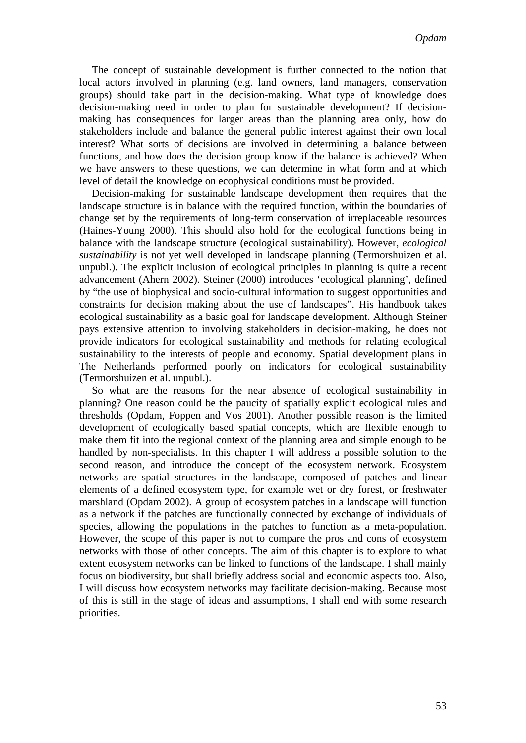The concept of sustainable development is further connected to the notion that local actors involved in planning (e.g. land owners, land managers, conservation groups) should take part in the decision-making. What type of knowledge does decision-making need in order to plan for sustainable development? If decisionmaking has consequences for larger areas than the planning area only, how do stakeholders include and balance the general public interest against their own local interest? What sorts of decisions are involved in determining a balance between functions, and how does the decision group know if the balance is achieved? When we have answers to these questions, we can determine in what form and at which level of detail the knowledge on ecophysical conditions must be provided.

Decision-making for sustainable landscape development then requires that the landscape structure is in balance with the required function, within the boundaries of change set by the requirements of long-term conservation of irreplaceable resources (Haines-Young 2000). This should also hold for the ecological functions being in balance with the landscape structure (ecological sustainability). However, *ecological sustainability* is not yet well developed in landscape planning (Termorshuizen et al. unpubl.). The explicit inclusion of ecological principles in planning is quite a recent advancement (Ahern 2002). Steiner (2000) introduces 'ecological planning', defined by "the use of biophysical and socio-cultural information to suggest opportunities and constraints for decision making about the use of landscapes". His handbook takes ecological sustainability as a basic goal for landscape development. Although Steiner pays extensive attention to involving stakeholders in decision-making, he does not provide indicators for ecological sustainability and methods for relating ecological sustainability to the interests of people and economy. Spatial development plans in The Netherlands performed poorly on indicators for ecological sustainability (Termorshuizen et al. unpubl.).

So what are the reasons for the near absence of ecological sustainability in planning? One reason could be the paucity of spatially explicit ecological rules and thresholds (Opdam, Foppen and Vos 2001). Another possible reason is the limited development of ecologically based spatial concepts, which are flexible enough to make them fit into the regional context of the planning area and simple enough to be handled by non-specialists. In this chapter I will address a possible solution to the second reason, and introduce the concept of the ecosystem network. Ecosystem networks are spatial structures in the landscape, composed of patches and linear elements of a defined ecosystem type, for example wet or dry forest, or freshwater marshland (Opdam 2002). A group of ecosystem patches in a landscape will function as a network if the patches are functionally connected by exchange of individuals of species, allowing the populations in the patches to function as a meta-population. However, the scope of this paper is not to compare the pros and cons of ecosystem networks with those of other concepts. The aim of this chapter is to explore to what extent ecosystem networks can be linked to functions of the landscape. I shall mainly focus on biodiversity, but shall briefly address social and economic aspects too. Also, I will discuss how ecosystem networks may facilitate decision-making. Because most of this is still in the stage of ideas and assumptions, I shall end with some research priorities.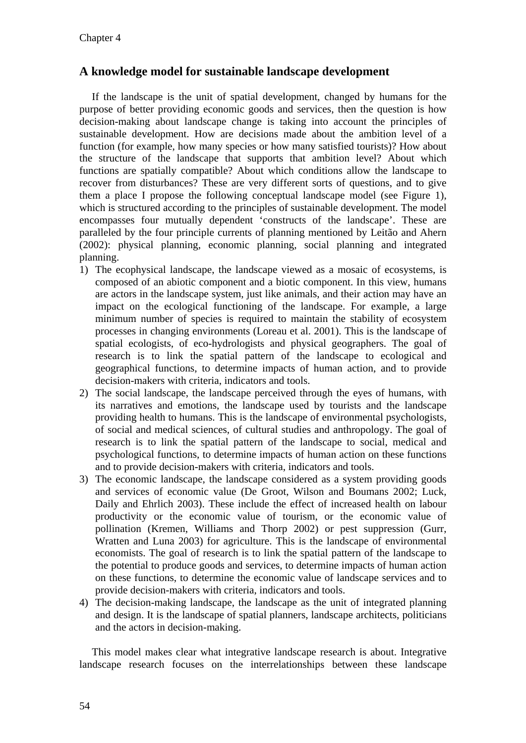## **A knowledge model for sustainable landscape development**

If the landscape is the unit of spatial development, changed by humans for the purpose of better providing economic goods and services, then the question is how decision-making about landscape change is taking into account the principles of sustainable development. How are decisions made about the ambition level of a function (for example, how many species or how many satisfied tourists)? How about the structure of the landscape that supports that ambition level? About which functions are spatially compatible? About which conditions allow the landscape to recover from disturbances? These are very different sorts of questions, and to give them a place I propose the following conceptual landscape model (see Figure 1), which is structured according to the principles of sustainable development. The model encompasses four mutually dependent 'constructs of the landscape'. These are paralleled by the four principle currents of planning mentioned by Leitão and Ahern (2002): physical planning, economic planning, social planning and integrated planning.

- 1) The ecophysical landscape, the landscape viewed as a mosaic of ecosystems, is composed of an abiotic component and a biotic component. In this view, humans are actors in the landscape system, just like animals, and their action may have an impact on the ecological functioning of the landscape. For example, a large minimum number of species is required to maintain the stability of ecosystem processes in changing environments (Loreau et al. 2001). This is the landscape of spatial ecologists, of eco-hydrologists and physical geographers. The goal of research is to link the spatial pattern of the landscape to ecological and geographical functions, to determine impacts of human action, and to provide decision-makers with criteria, indicators and tools.
- 2) The social landscape, the landscape perceived through the eyes of humans, with its narratives and emotions, the landscape used by tourists and the landscape providing health to humans. This is the landscape of environmental psychologists, of social and medical sciences, of cultural studies and anthropology. The goal of research is to link the spatial pattern of the landscape to social, medical and psychological functions, to determine impacts of human action on these functions and to provide decision-makers with criteria, indicators and tools.
- 3) The economic landscape, the landscape considered as a system providing goods and services of economic value (De Groot, Wilson and Boumans 2002; Luck, Daily and Ehrlich 2003). These include the effect of increased health on labour productivity or the economic value of tourism, or the economic value of pollination (Kremen, Williams and Thorp 2002) or pest suppression (Gurr, Wratten and Luna 2003) for agriculture. This is the landscape of environmental economists. The goal of research is to link the spatial pattern of the landscape to the potential to produce goods and services, to determine impacts of human action on these functions, to determine the economic value of landscape services and to provide decision-makers with criteria, indicators and tools.
- 4) The decision-making landscape, the landscape as the unit of integrated planning and design. It is the landscape of spatial planners, landscape architects, politicians and the actors in decision-making.

This model makes clear what integrative landscape research is about. Integrative landscape research focuses on the interrelationships between these landscape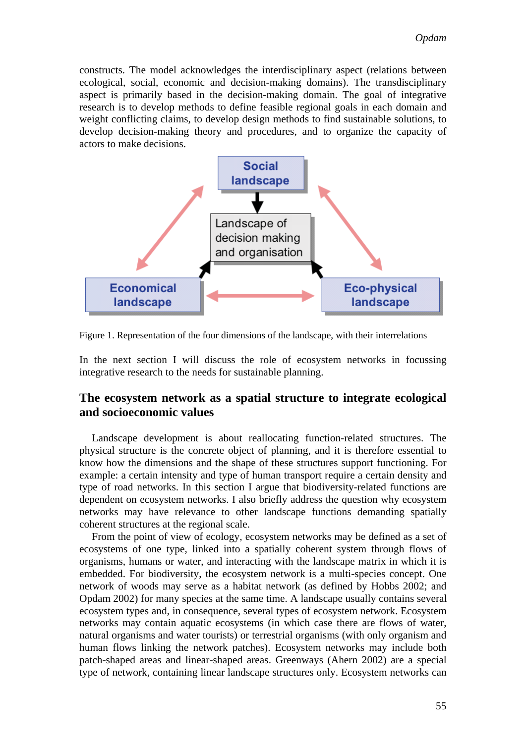constructs. The model acknowledges the interdisciplinary aspect (relations between ecological, social, economic and decision-making domains). The transdisciplinary aspect is primarily based in the decision-making domain. The goal of integrative research is to develop methods to define feasible regional goals in each domain and weight conflicting claims, to develop design methods to find sustainable solutions, to develop decision-making theory and procedures, and to organize the capacity of actors to make decisions.



Figure 1. Representation of the four dimensions of the landscape, with their interrelations

In the next section I will discuss the role of ecosystem networks in focussing integrative research to the needs for sustainable planning.

## **The ecosystem network as a spatial structure to integrate ecological and socioeconomic values**

Landscape development is about reallocating function-related structures. The physical structure is the concrete object of planning, and it is therefore essential to know how the dimensions and the shape of these structures support functioning. For example: a certain intensity and type of human transport require a certain density and type of road networks. In this section I argue that biodiversity-related functions are dependent on ecosystem networks. I also briefly address the question why ecosystem networks may have relevance to other landscape functions demanding spatially coherent structures at the regional scale.

From the point of view of ecology, ecosystem networks may be defined as a set of ecosystems of one type, linked into a spatially coherent system through flows of organisms, humans or water, and interacting with the landscape matrix in which it is embedded. For biodiversity, the ecosystem network is a multi-species concept. One network of woods may serve as a habitat network (as defined by Hobbs 2002; and Opdam 2002) for many species at the same time. A landscape usually contains several ecosystem types and, in consequence, several types of ecosystem network. Ecosystem networks may contain aquatic ecosystems (in which case there are flows of water, natural organisms and water tourists) or terrestrial organisms (with only organism and human flows linking the network patches). Ecosystem networks may include both patch-shaped areas and linear-shaped areas. Greenways (Ahern 2002) are a special type of network, containing linear landscape structures only. Ecosystem networks can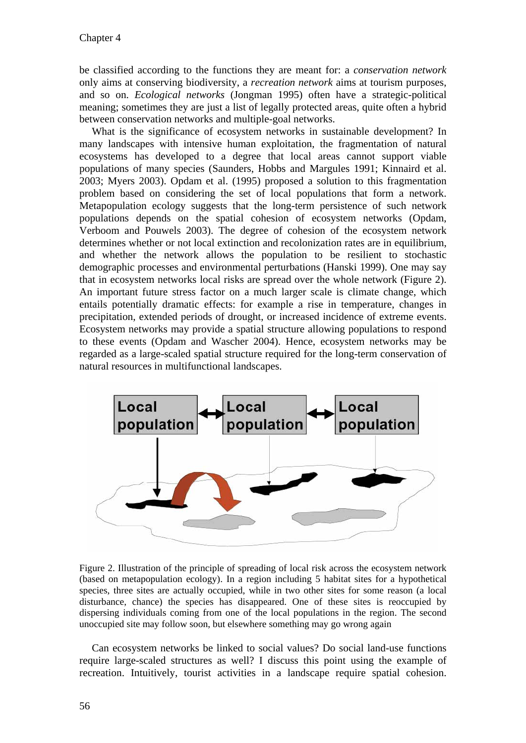be classified according to the functions they are meant for: a *conservation network* only aims at conserving biodiversity, a *recreation network* aims at tourism purposes, and so on. *Ecological networks* (Jongman 1995) often have a strategic-political meaning; sometimes they are just a list of legally protected areas, quite often a hybrid between conservation networks and multiple-goal networks.

What is the significance of ecosystem networks in sustainable development? In many landscapes with intensive human exploitation, the fragmentation of natural ecosystems has developed to a degree that local areas cannot support viable populations of many species (Saunders, Hobbs and Margules 1991; Kinnaird et al. 2003; Myers 2003). Opdam et al. (1995) proposed a solution to this fragmentation problem based on considering the set of local populations that form a network. Metapopulation ecology suggests that the long-term persistence of such network populations depends on the spatial cohesion of ecosystem networks (Opdam, Verboom and Pouwels 2003). The degree of cohesion of the ecosystem network determines whether or not local extinction and recolonization rates are in equilibrium, and whether the network allows the population to be resilient to stochastic demographic processes and environmental perturbations (Hanski 1999). One may say that in ecosystem networks local risks are spread over the whole network (Figure 2). An important future stress factor on a much larger scale is climate change, which entails potentially dramatic effects: for example a rise in temperature, changes in precipitation, extended periods of drought, or increased incidence of extreme events. Ecosystem networks may provide a spatial structure allowing populations to respond to these events (Opdam and Wascher 2004). Hence, ecosystem networks may be regarded as a large-scaled spatial structure required for the long-term conservation of natural resources in multifunctional landscapes.



Figure 2. Illustration of the principle of spreading of local risk across the ecosystem network (based on metapopulation ecology). In a region including 5 habitat sites for a hypothetical species, three sites are actually occupied, while in two other sites for some reason (a local disturbance, chance) the species has disappeared. One of these sites is reoccupied by dispersing individuals coming from one of the local populations in the region. The second unoccupied site may follow soon, but elsewhere something may go wrong again

Can ecosystem networks be linked to social values? Do social land-use functions require large-scaled structures as well? I discuss this point using the example of recreation. Intuitively, tourist activities in a landscape require spatial cohesion.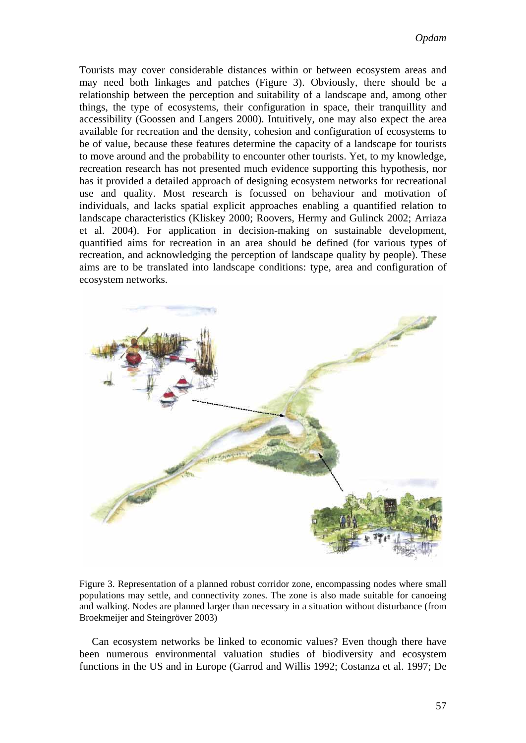Tourists may cover considerable distances within or between ecosystem areas and may need both linkages and patches (Figure 3). Obviously, there should be a relationship between the perception and suitability of a landscape and, among other things, the type of ecosystems, their configuration in space, their tranquillity and accessibility (Goossen and Langers 2000). Intuitively, one may also expect the area available for recreation and the density, cohesion and configuration of ecosystems to be of value, because these features determine the capacity of a landscape for tourists to move around and the probability to encounter other tourists. Yet, to my knowledge, recreation research has not presented much evidence supporting this hypothesis, nor has it provided a detailed approach of designing ecosystem networks for recreational use and quality. Most research is focussed on behaviour and motivation of individuals, and lacks spatial explicit approaches enabling a quantified relation to landscape characteristics (Kliskey 2000; Roovers, Hermy and Gulinck 2002; Arriaza et al. 2004). For application in decision-making on sustainable development, quantified aims for recreation in an area should be defined (for various types of recreation, and acknowledging the perception of landscape quality by people). These aims are to be translated into landscape conditions: type, area and configuration of ecosystem networks.



Figure 3. Representation of a planned robust corridor zone, encompassing nodes where small populations may settle, and connectivity zones. The zone is also made suitable for canoeing and walking. Nodes are planned larger than necessary in a situation without disturbance (from Broekmeijer and Steingröver 2003)

Can ecosystem networks be linked to economic values? Even though there have been numerous environmental valuation studies of biodiversity and ecosystem functions in the US and in Europe (Garrod and Willis 1992; Costanza et al. 1997; De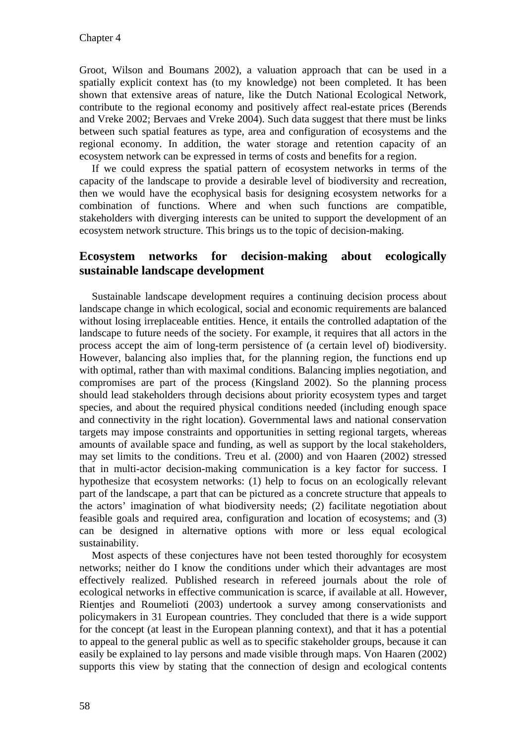Groot, Wilson and Boumans 2002), a valuation approach that can be used in a spatially explicit context has (to my knowledge) not been completed. It has been shown that extensive areas of nature, like the Dutch National Ecological Network, contribute to the regional economy and positively affect real-estate prices (Berends and Vreke 2002; Bervaes and Vreke 2004). Such data suggest that there must be links between such spatial features as type, area and configuration of ecosystems and the regional economy. In addition, the water storage and retention capacity of an ecosystem network can be expressed in terms of costs and benefits for a region.

If we could express the spatial pattern of ecosystem networks in terms of the capacity of the landscape to provide a desirable level of biodiversity and recreation, then we would have the ecophysical basis for designing ecosystem networks for a combination of functions. Where and when such functions are compatible, stakeholders with diverging interests can be united to support the development of an ecosystem network structure. This brings us to the topic of decision-making.

#### **Ecosystem networks for decision-making about ecologically sustainable landscape development**

Sustainable landscape development requires a continuing decision process about landscape change in which ecological, social and economic requirements are balanced without losing irreplaceable entities. Hence, it entails the controlled adaptation of the landscape to future needs of the society. For example, it requires that all actors in the process accept the aim of long-term persistence of (a certain level of) biodiversity. However, balancing also implies that, for the planning region, the functions end up with optimal, rather than with maximal conditions. Balancing implies negotiation, and compromises are part of the process (Kingsland 2002). So the planning process should lead stakeholders through decisions about priority ecosystem types and target species, and about the required physical conditions needed (including enough space and connectivity in the right location). Governmental laws and national conservation targets may impose constraints and opportunities in setting regional targets, whereas amounts of available space and funding, as well as support by the local stakeholders, may set limits to the conditions. Treu et al. (2000) and von Haaren (2002) stressed that in multi-actor decision-making communication is a key factor for success. I hypothesize that ecosystem networks: (1) help to focus on an ecologically relevant part of the landscape, a part that can be pictured as a concrete structure that appeals to the actors' imagination of what biodiversity needs; (2) facilitate negotiation about feasible goals and required area, configuration and location of ecosystems; and (3) can be designed in alternative options with more or less equal ecological sustainability.

Most aspects of these conjectures have not been tested thoroughly for ecosystem networks; neither do I know the conditions under which their advantages are most effectively realized. Published research in refereed journals about the role of ecological networks in effective communication is scarce, if available at all. However, Rientjes and Roumelioti (2003) undertook a survey among conservationists and policymakers in 31 European countries. They concluded that there is a wide support for the concept (at least in the European planning context), and that it has a potential to appeal to the general public as well as to specific stakeholder groups, because it can easily be explained to lay persons and made visible through maps. Von Haaren (2002) supports this view by stating that the connection of design and ecological contents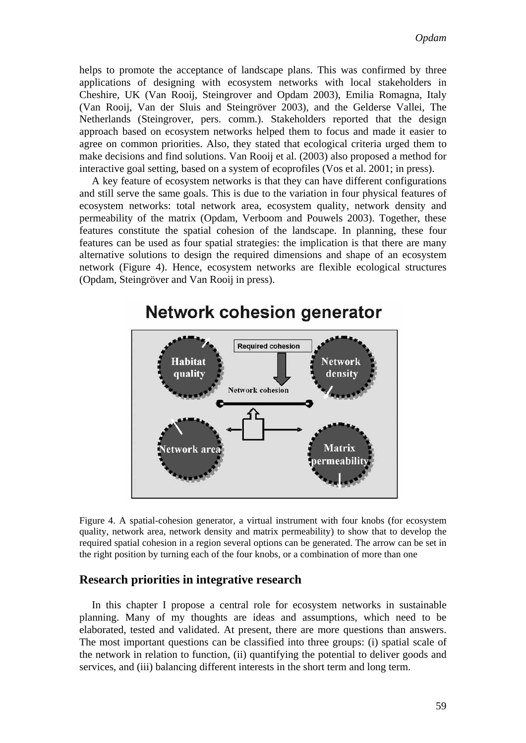helps to promote the acceptance of landscape plans. This was confirmed by three applications of designing with ecosystem networks with local stakeholders in Cheshire, UK (Van Rooij, Steingrover and Opdam 2003), Emilia Romagna, Italy (Van Rooij, Van der Sluis and Steingröver 2003), and the Gelderse Vallei, The Netherlands (Steingrover, pers. comm.). Stakeholders reported that the design approach based on ecosystem networks helped them to focus and made it easier to agree on common priorities. Also, they stated that ecological criteria urged them to make decisions and find solutions. Van Rooij et al. (2003) also proposed a method for interactive goal setting, based on a system of ecoprofiles (Vos et al. 2001; in press).

A key feature of ecosystem networks is that they can have different configurations and still serve the same goals. This is due to the variation in four physical features of ecosystem networks: total network area, ecosystem quality, network density and permeability of the matrix (Opdam, Verboom and Pouwels 2003). Together, these features constitute the spatial cohesion of the landscape. In planning, these four features can be used as four spatial strategies: the implication is that there are many alternative solutions to design the required dimensions and shape of an ecosystem network (Figure 4). Hence, ecosystem networks are flexible ecological structures (Opdam, Steingröver and Van Rooij in press).



# Network cohesion generator

Figure 4. A spatial-cohesion generator, a virtual instrument with four knobs (for ecosystem quality, network area, network density and matrix permeability) to show that to develop the required spatial cohesion in a region several options can be generated. The arrow can be set in the right position by turning each of the four knobs, or a combination of more than one

#### **Research priorities in integrative research**

In this chapter I propose a central role for ecosystem networks in sustainable planning. Many of my thoughts are ideas and assumptions, which need to be elaborated, tested and validated. At present, there are more questions than answers. The most important questions can be classified into three groups: (i) spatial scale of the network in relation to function, (ii) quantifying the potential to deliver goods and services, and (iii) balancing different interests in the short term and long term.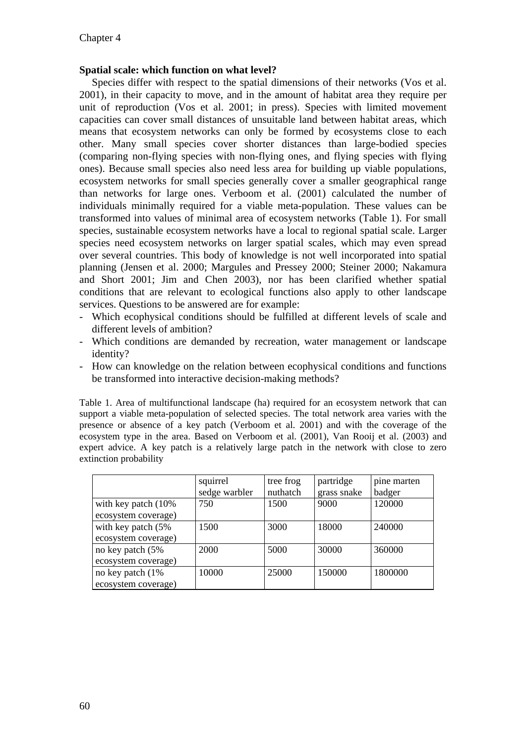#### **Spatial scale: which function on what level?**

Species differ with respect to the spatial dimensions of their networks (Vos et al. 2001), in their capacity to move, and in the amount of habitat area they require per unit of reproduction (Vos et al. 2001; in press). Species with limited movement capacities can cover small distances of unsuitable land between habitat areas, which means that ecosystem networks can only be formed by ecosystems close to each other. Many small species cover shorter distances than large-bodied species (comparing non-flying species with non-flying ones, and flying species with flying ones). Because small species also need less area for building up viable populations, ecosystem networks for small species generally cover a smaller geographical range than networks for large ones. Verboom et al. (2001) calculated the number of individuals minimally required for a viable meta-population. These values can be transformed into values of minimal area of ecosystem networks (Table 1). For small species, sustainable ecosystem networks have a local to regional spatial scale. Larger species need ecosystem networks on larger spatial scales, which may even spread over several countries. This body of knowledge is not well incorporated into spatial planning (Jensen et al. 2000; Margules and Pressey 2000; Steiner 2000; Nakamura and Short 2001; Jim and Chen 2003), nor has been clarified whether spatial conditions that are relevant to ecological functions also apply to other landscape services. Questions to be answered are for example:

- Which ecophysical conditions should be fulfilled at different levels of scale and different levels of ambition?
- Which conditions are demanded by recreation, water management or landscape identity?
- How can knowledge on the relation between ecophysical conditions and functions be transformed into interactive decision-making methods?

Table 1. Area of multifunctional landscape (ha) required for an ecosystem network that can support a viable meta-population of selected species. The total network area varies with the presence or absence of a key patch (Verboom et al. 2001) and with the coverage of the ecosystem type in the area. Based on Verboom et al. (2001), Van Rooij et al. (2003) and expert advice. A key patch is a relatively large patch in the network with close to zero extinction probability

|                                               | squirrel<br>sedge warbler | tree frog<br>nuthatch | partridge<br>grass snake | pine marten<br>badger |
|-----------------------------------------------|---------------------------|-----------------------|--------------------------|-----------------------|
| with key patch $(10\%$<br>ecosystem coverage) | 750                       | 1500                  | 9000                     | 120000                |
| with key patch (5%)                           | 1500                      | 3000                  | 18000                    | 240000                |
| ecosystem coverage)<br>no key patch (5%       | 2000                      | 5000                  | 30000                    | 360000                |
| ecosystem coverage)<br>no key patch (1%)      | 10000                     | 25000                 | 150000                   | 1800000               |
| ecosystem coverage)                           |                           |                       |                          |                       |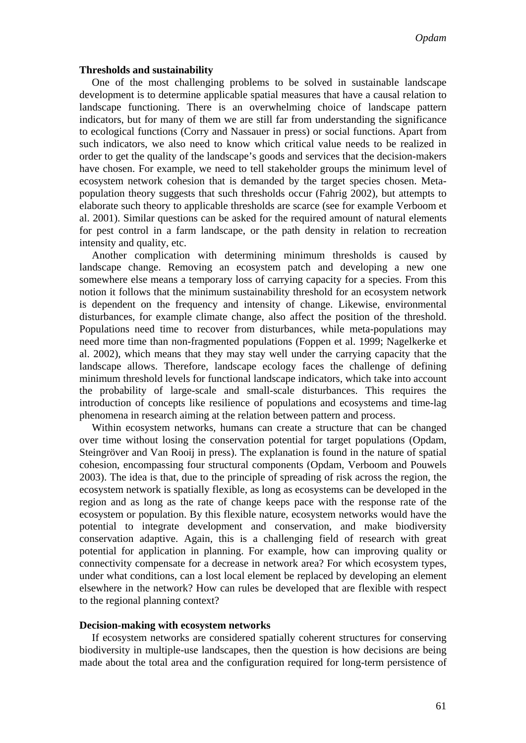#### **Thresholds and sustainability**

One of the most challenging problems to be solved in sustainable landscape development is to determine applicable spatial measures that have a causal relation to landscape functioning. There is an overwhelming choice of landscape pattern indicators, but for many of them we are still far from understanding the significance to ecological functions (Corry and Nassauer in press) or social functions. Apart from such indicators, we also need to know which critical value needs to be realized in order to get the quality of the landscape's goods and services that the decision-makers have chosen. For example, we need to tell stakeholder groups the minimum level of ecosystem network cohesion that is demanded by the target species chosen. Metapopulation theory suggests that such thresholds occur (Fahrig 2002), but attempts to elaborate such theory to applicable thresholds are scarce (see for example Verboom et al. 2001). Similar questions can be asked for the required amount of natural elements for pest control in a farm landscape, or the path density in relation to recreation intensity and quality, etc.

Another complication with determining minimum thresholds is caused by landscape change. Removing an ecosystem patch and developing a new one somewhere else means a temporary loss of carrying capacity for a species. From this notion it follows that the minimum sustainability threshold for an ecosystem network is dependent on the frequency and intensity of change. Likewise, environmental disturbances, for example climate change, also affect the position of the threshold. Populations need time to recover from disturbances, while meta-populations may need more time than non-fragmented populations (Foppen et al. 1999; Nagelkerke et al. 2002), which means that they may stay well under the carrying capacity that the landscape allows. Therefore, landscape ecology faces the challenge of defining minimum threshold levels for functional landscape indicators, which take into account the probability of large-scale and small-scale disturbances. This requires the introduction of concepts like resilience of populations and ecosystems and time-lag phenomena in research aiming at the relation between pattern and process.

Within ecosystem networks, humans can create a structure that can be changed over time without losing the conservation potential for target populations (Opdam, Steingröver and Van Rooij in press). The explanation is found in the nature of spatial cohesion, encompassing four structural components (Opdam, Verboom and Pouwels 2003). The idea is that, due to the principle of spreading of risk across the region, the ecosystem network is spatially flexible, as long as ecosystems can be developed in the region and as long as the rate of change keeps pace with the response rate of the ecosystem or population. By this flexible nature, ecosystem networks would have the potential to integrate development and conservation, and make biodiversity conservation adaptive. Again, this is a challenging field of research with great potential for application in planning. For example, how can improving quality or connectivity compensate for a decrease in network area? For which ecosystem types, under what conditions, can a lost local element be replaced by developing an element elsewhere in the network? How can rules be developed that are flexible with respect to the regional planning context?

#### **Decision-making with ecosystem networks**

If ecosystem networks are considered spatially coherent structures for conserving biodiversity in multiple-use landscapes, then the question is how decisions are being made about the total area and the configuration required for long-term persistence of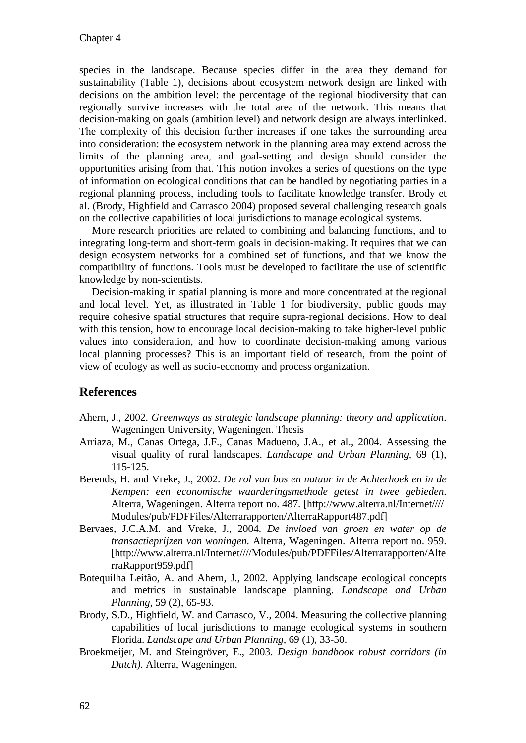species in the landscape. Because species differ in the area they demand for sustainability (Table 1), decisions about ecosystem network design are linked with decisions on the ambition level: the percentage of the regional biodiversity that can regionally survive increases with the total area of the network. This means that decision-making on goals (ambition level) and network design are always interlinked. The complexity of this decision further increases if one takes the surrounding area into consideration: the ecosystem network in the planning area may extend across the limits of the planning area, and goal-setting and design should consider the opportunities arising from that. This notion invokes a series of questions on the type of information on ecological conditions that can be handled by negotiating parties in a regional planning process, including tools to facilitate knowledge transfer. Brody et al. (Brody, Highfield and Carrasco 2004) proposed several challenging research goals on the collective capabilities of local jurisdictions to manage ecological systems.

More research priorities are related to combining and balancing functions, and to integrating long-term and short-term goals in decision-making. It requires that we can design ecosystem networks for a combined set of functions, and that we know the compatibility of functions. Tools must be developed to facilitate the use of scientific knowledge by non-scientists.

Decision-making in spatial planning is more and more concentrated at the regional and local level. Yet, as illustrated in Table 1 for biodiversity, public goods may require cohesive spatial structures that require supra-regional decisions. How to deal with this tension, how to encourage local decision-making to take higher-level public values into consideration, and how to coordinate decision-making among various local planning processes? This is an important field of research, from the point of view of ecology as well as socio-economy and process organization.

#### **References**

- Ahern, J., 2002. *Greenways as strategic landscape planning: theory and application*. Wageningen University, Wageningen. Thesis
- Arriaza, M., Canas Ortega, J.F., Canas Madueno, J.A., et al., 2004. Assessing the visual quality of rural landscapes. *Landscape and Urban Planning,* 69 (1), 115-125.
- Berends, H. and Vreke, J., 2002. *De rol van bos en natuur in de Achterhoek en in de Kempen: een economische waarderingsmethode getest in twee gebieden*. Alterra, Wageningen. Alterra report no. 487. [http://www.alterra.nl/Internet//// Modules/pub/PDFFiles/Alterrarapporten/AlterraRapport487.pdf]
- Bervaes, J.C.A.M. and Vreke, J., 2004. *De invloed van groen en water op de transactieprijzen van woningen*. Alterra, Wageningen. Alterra report no. 959. [http://www.alterra.nl/Internet////Modules/pub/PDFFiles/Alterrarapporten/Alte rraRapport959.pdf]
- Botequilha Leitão, A. and Ahern, J., 2002. Applying landscape ecological concepts and metrics in sustainable landscape planning. *Landscape and Urban Planning,* 59 (2), 65-93.
- Brody, S.D., Highfield, W. and Carrasco, V., 2004. Measuring the collective planning capabilities of local jurisdictions to manage ecological systems in southern Florida. *Landscape and Urban Planning,* 69 (1), 33-50.
- Broekmeijer, M. and Steingröver, E., 2003. *Design handbook robust corridors (in Dutch)*. Alterra, Wageningen.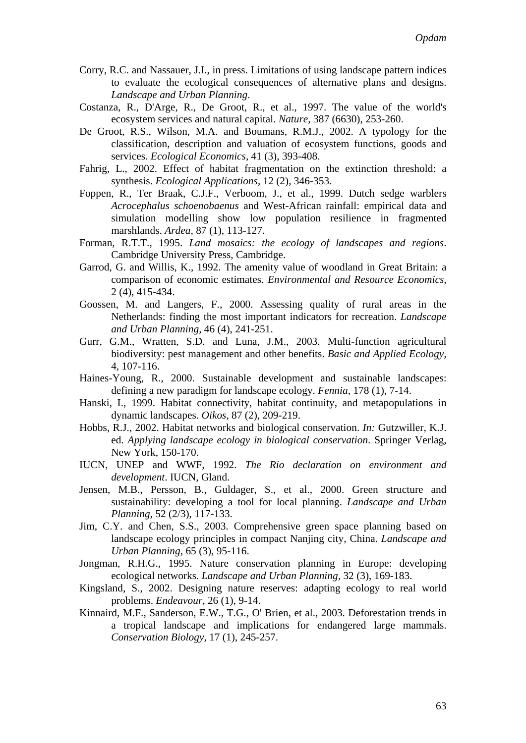- Corry, R.C. and Nassauer, J.I., in press. Limitations of using landscape pattern indices to evaluate the ecological consequences of alternative plans and designs. *Landscape and Urban Planning*.
- Costanza, R., D'Arge, R., De Groot, R., et al., 1997. The value of the world's ecosystem services and natural capital. *Nature,* 387 (6630), 253-260.
- De Groot, R.S., Wilson, M.A. and Boumans, R.M.J., 2002. A typology for the classification, description and valuation of ecosystem functions, goods and services. *Ecological Economics,* 41 (3), 393-408.
- Fahrig, L., 2002. Effect of habitat fragmentation on the extinction threshold: a synthesis. *Ecological Applications,* 12 (2), 346-353.
- Foppen, R., Ter Braak, C.J.F., Verboom, J., et al., 1999. Dutch sedge warblers *Acrocephalus schoenobaenus* and West-African rainfall: empirical data and simulation modelling show low population resilience in fragmented marshlands. *Ardea,* 87 (1), 113-127.
- Forman, R.T.T., 1995. *Land mosaics: the ecology of landscapes and regions*. Cambridge University Press, Cambridge.
- Garrod, G. and Willis, K., 1992. The amenity value of woodland in Great Britain: a comparison of economic estimates. *Environmental and Resource Economics,* 2 (4), 415-434.
- Goossen, M. and Langers, F., 2000. Assessing quality of rural areas in the Netherlands: finding the most important indicators for recreation. *Landscape and Urban Planning,* 46 (4), 241-251.
- Gurr, G.M., Wratten, S.D. and Luna, J.M., 2003. Multi-function agricultural biodiversity: pest management and other benefits. *Basic and Applied Ecology,* 4, 107-116.
- Haines-Young, R., 2000. Sustainable development and sustainable landscapes: defining a new paradigm for landscape ecology. *Fennia,* 178 (1), 7-14.
- Hanski, I., 1999. Habitat connectivity, habitat continuity, and metapopulations in dynamic landscapes. *Oikos,* 87 (2), 209-219.
- Hobbs, R.J., 2002. Habitat networks and biological conservation. *In:* Gutzwiller, K.J. ed. *Applying landscape ecology in biological conservation*. Springer Verlag, New York, 150-170.
- IUCN, UNEP and WWF, 1992. *The Rio declaration on environment and development*. IUCN, Gland.
- Jensen, M.B., Persson, B., Guldager, S., et al., 2000. Green structure and sustainability: developing a tool for local planning. *Landscape and Urban Planning,* 52 (2/3), 117-133.
- Jim, C.Y. and Chen, S.S., 2003. Comprehensive green space planning based on landscape ecology principles in compact Nanjing city, China. *Landscape and Urban Planning,* 65 (3), 95-116.
- Jongman, R.H.G., 1995. Nature conservation planning in Europe: developing ecological networks. *Landscape and Urban Planning,* 32 (3), 169-183.
- Kingsland, S., 2002. Designing nature reserves: adapting ecology to real world problems. *Endeavour,* 26 (1), 9-14.
- Kinnaird, M.F., Sanderson, E.W., T.G., O' Brien, et al., 2003. Deforestation trends in a tropical landscape and implications for endangered large mammals. *Conservation Biology,* 17 (1), 245-257.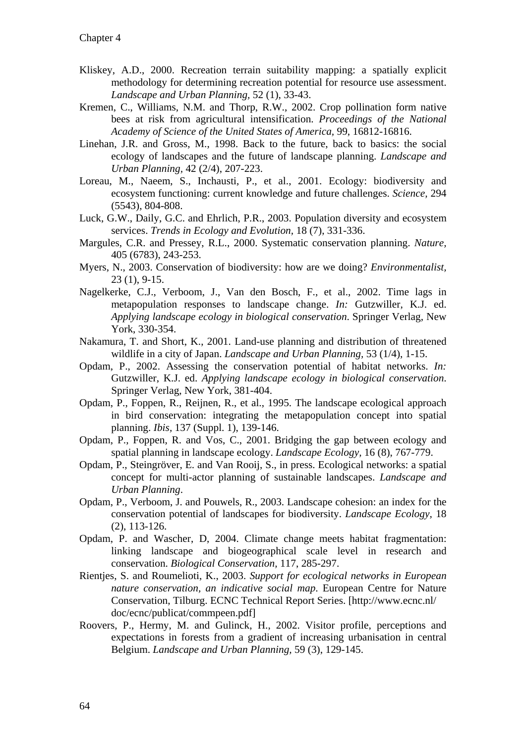- Kliskey, A.D., 2000. Recreation terrain suitability mapping: a spatially explicit methodology for determining recreation potential for resource use assessment. *Landscape and Urban Planning,* 52 (1), 33-43.
- Kremen, C., Williams, N.M. and Thorp, R.W., 2002. Crop pollination form native bees at risk from agricultural intensification. *Proceedings of the National Academy of Science of the United States of America,* 99, 16812-16816.
- Linehan, J.R. and Gross, M., 1998. Back to the future, back to basics: the social ecology of landscapes and the future of landscape planning. *Landscape and Urban Planning,* 42 (2/4), 207-223.
- Loreau, M., Naeem, S., Inchausti, P., et al., 2001. Ecology: biodiversity and ecosystem functioning: current knowledge and future challenges. *Science,* 294 (5543), 804-808.
- Luck, G.W., Daily, G.C. and Ehrlich, P.R., 2003. Population diversity and ecosystem services. *Trends in Ecology and Evolution,* 18 (7), 331-336.
- Margules, C.R. and Pressey, R.L., 2000. Systematic conservation planning. *Nature,* 405 (6783), 243-253.
- Myers, N., 2003. Conservation of biodiversity: how are we doing? *Environmentalist,* 23 (1), 9-15.
- Nagelkerke, C.J., Verboom, J., Van den Bosch, F., et al., 2002. Time lags in metapopulation responses to landscape change. *In:* Gutzwiller, K.J. ed. *Applying landscape ecology in biological conservation*. Springer Verlag, New York, 330-354.
- Nakamura, T. and Short, K., 2001. Land-use planning and distribution of threatened wildlife in a city of Japan. *Landscape and Urban Planning,* 53 (1/4), 1-15.
- Opdam, P., 2002. Assessing the conservation potential of habitat networks. *In:* Gutzwiller, K.J. ed. *Applying landscape ecology in biological conservation*. Springer Verlag, New York, 381-404.
- Opdam, P., Foppen, R., Reijnen, R., et al., 1995. The landscape ecological approach in bird conservation: integrating the metapopulation concept into spatial planning. *Ibis,* 137 (Suppl. 1), 139-146.
- Opdam, P., Foppen, R. and Vos, C., 2001. Bridging the gap between ecology and spatial planning in landscape ecology. *Landscape Ecology,* 16 (8), 767-779.
- Opdam, P., Steingröver, E. and Van Rooij, S., in press. Ecological networks: a spatial concept for multi-actor planning of sustainable landscapes. *Landscape and Urban Planning*.
- Opdam, P., Verboom, J. and Pouwels, R., 2003. Landscape cohesion: an index for the conservation potential of landscapes for biodiversity. *Landscape Ecology,* 18 (2), 113-126.
- Opdam, P. and Wascher, D, 2004. Climate change meets habitat fragmentation: linking landscape and biogeographical scale level in research and conservation. *Biological Conservation,* 117, 285-297.
- Rientjes, S. and Roumelioti, K., 2003. *Support for ecological networks in European nature conservation, an indicative social map*. European Centre for Nature Conservation, Tilburg. ECNC Technical Report Series. [http://www.ecnc.nl/ doc/ecnc/publicat/commpeen.pdf]
- Roovers, P., Hermy, M. and Gulinck, H., 2002. Visitor profile, perceptions and expectations in forests from a gradient of increasing urbanisation in central Belgium. *Landscape and Urban Planning,* 59 (3), 129-145.